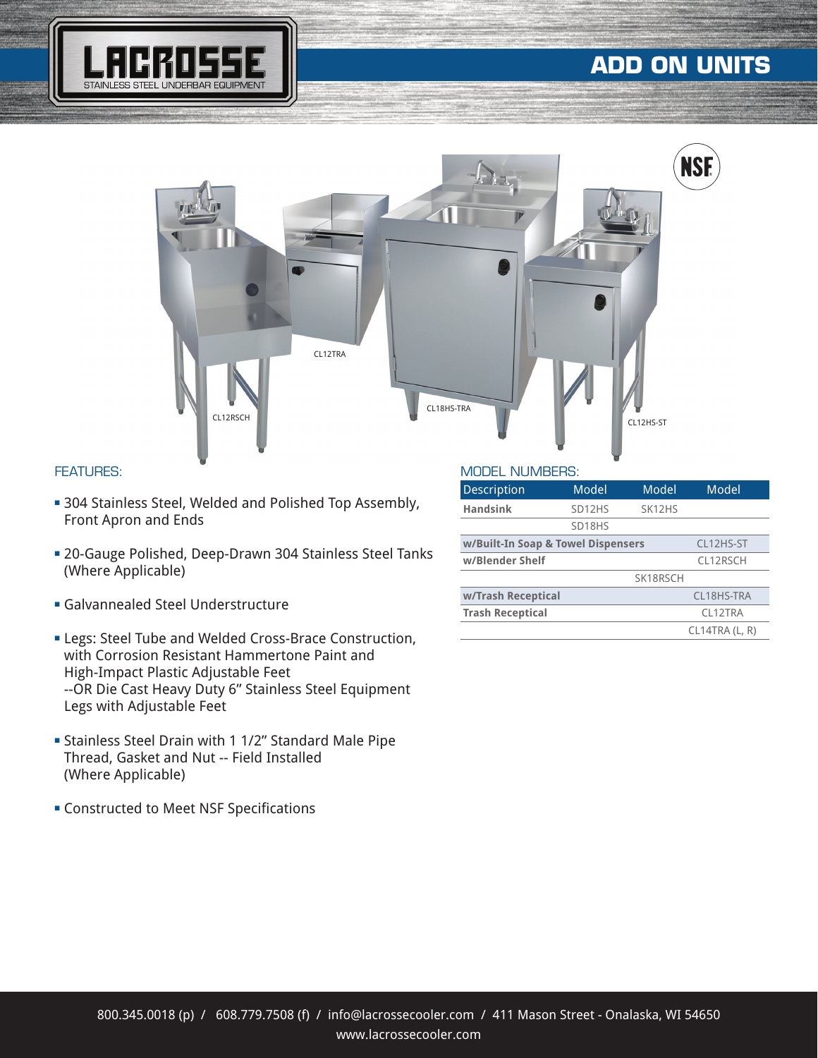

# **ADD ON UNITS**



#### FEATURES:

- **304 Stainless Steel, Welded and Polished Top Assembly,** Front Apron and Ends
- **20-Gauge Polished, Deep-Drawn 304 Stainless Steel Tanks** (Where Applicable)
- **Galvannealed Steel Understructure**
- **ELegs: Steel Tube and Welded Cross-Brace Construction,** with Corrosion Resistant Hammertone Paint and High-Impact Plastic Adjustable Feet --OR Die Cast Heavy Duty 6" Stainless Steel Equipment Legs with Adjustable Feet
- <sup>n</sup> Stainless Steel Drain with 1 1/2" Standard Male Pipe Thread, Gasket and Nut -- Field Installed (Where Applicable)
- **EX Constructed to Meet NSF Specifications**

#### MODEL NUMBERS:

| <b>Description</b>                 | Model               | Model               | Model               |
|------------------------------------|---------------------|---------------------|---------------------|
| <b>Handsink</b>                    | SD <sub>12</sub> HS | SK <sub>12</sub> HS |                     |
|                                    | SD18HS              |                     |                     |
| w/Built-In Soap & Towel Dispensers |                     |                     | CL12HS-ST           |
| w/Blender Shelf                    |                     |                     | CL12RSCH            |
|                                    |                     | SK18RSCH            |                     |
| w/Trash Receptical                 |                     |                     | CL18HS-TRA          |
| <b>Trash Receptical</b>            |                     |                     | CI <sub>12TRA</sub> |
|                                    |                     |                     | CL14TRA (L, R)      |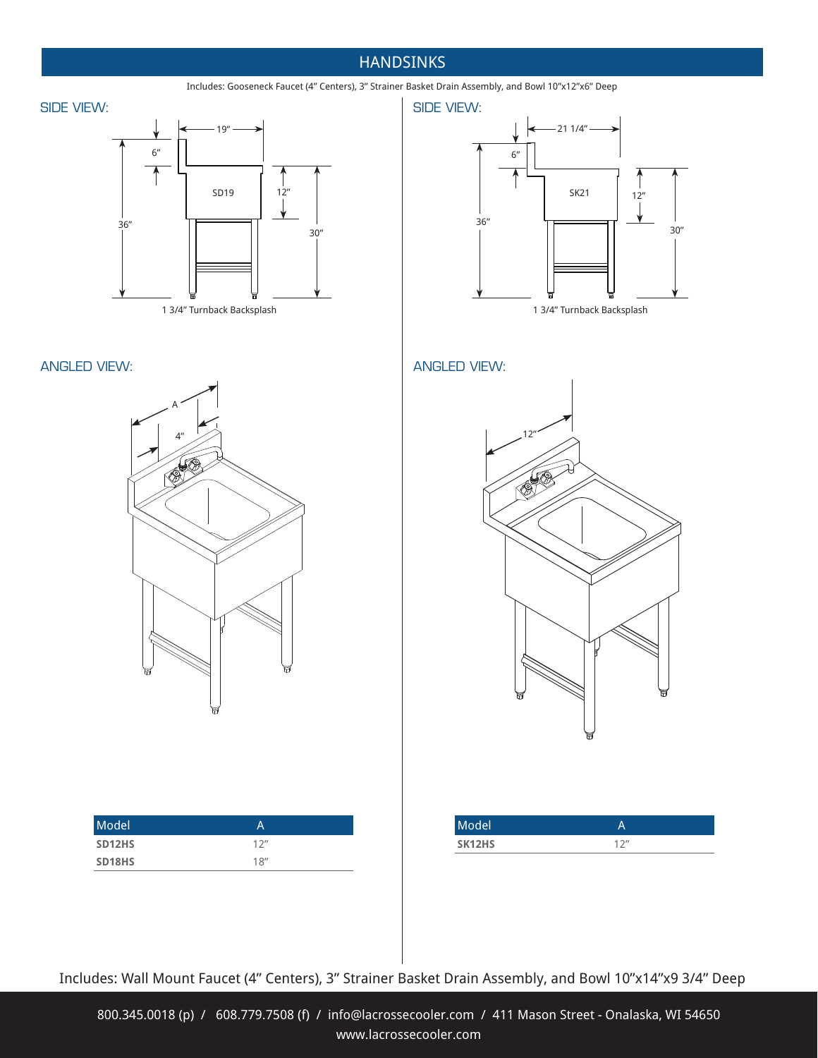### **HANDSINKS**

Includes: Gooseneck Faucet (4" Centers), 3" Strainer Basket Drain Assembly, and Bowl 10"x12"x6" Deep







#### ANGLED VIEW: ANGLED VIEW:





| Model  | А                |
|--------|------------------|
| SD12HS | 12 <sup>''</sup> |
| SD18HS | 18''             |



| Model <sup>'</sup>  |                   |
|---------------------|-------------------|
| SK <sub>12</sub> HS | 1.2 <sub>II</sub> |

Includes: Wall Mount Faucet (4" Centers), 3" Strainer Basket Drain Assembly, and Bowl 10"x14"x9 3/4" Deep

800.345.0018 (p) / 608.779.7508 (f) / info@lacrossecooler.com / 411 Mason Street - Onalaska, WI 54650 www.lacrossecooler.com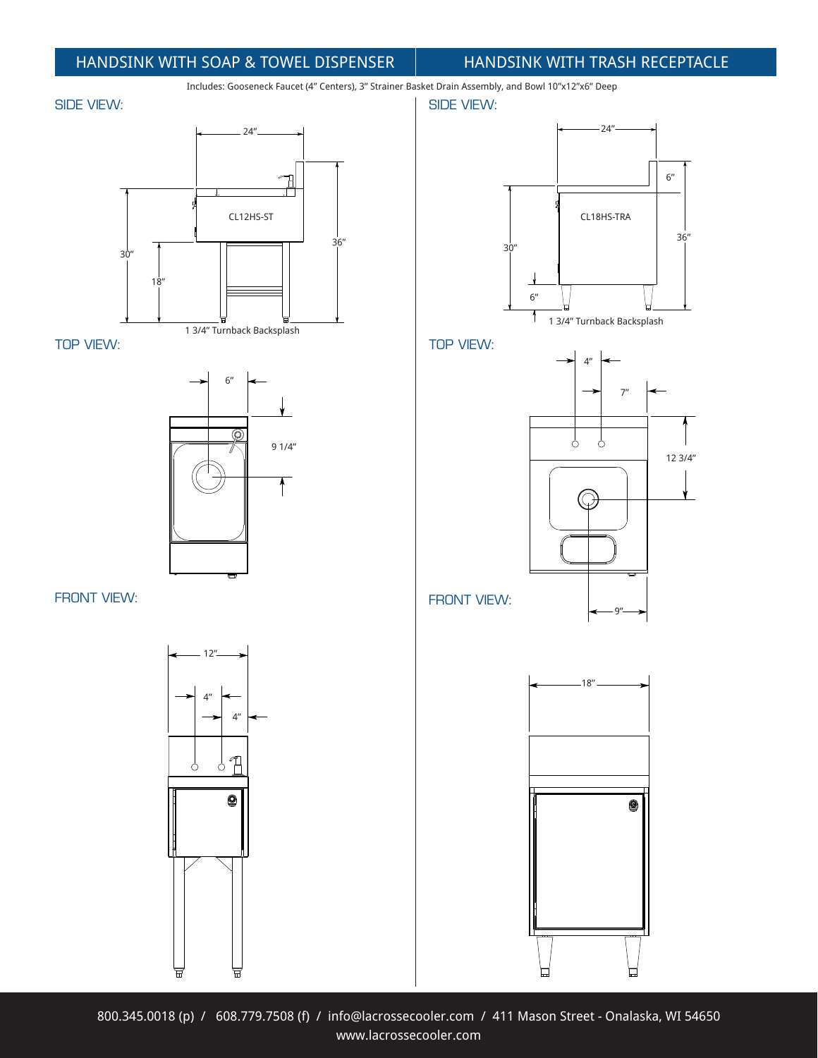### HANDSINK WITH SOAP & TOWEL DISPENSER HANDSINK WITH TRASH RECEPTACLE

Includes: Gooseneck Faucet (4" Centers), 3" Strainer Basket Drain Assembly, and Bowl 10"x12"x6" Deep

#### SIDE VIEW:



TOP VIEW:



FRONT VIEW:









800.345.0018 (p) / 608.779.7508 (f) / info@lacrossecooler.com / 411 Mason Street - Onalaska, WI 54650 www.lacrossecooler.com

CL18HS-TRA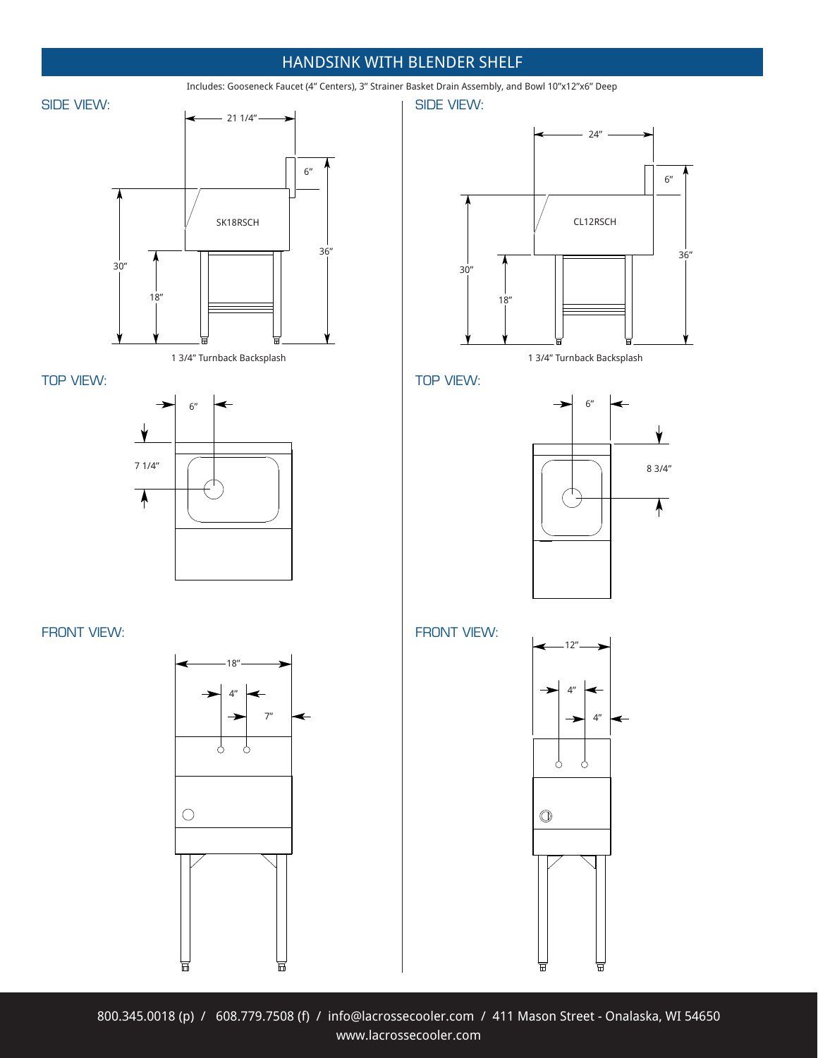### HANDSINK WITH BLENDER SHELF









FRONT VIEW: The state of the state of the state of the state of the state of the state of the state of the state of the state of the state of the state of the state of the state of the state of the state of the state of th



Includes: Gooseneck Faucet (4" Centers), 3" Strainer Basket Drain Assembly, and Bowl 10"x12"x6" Deep